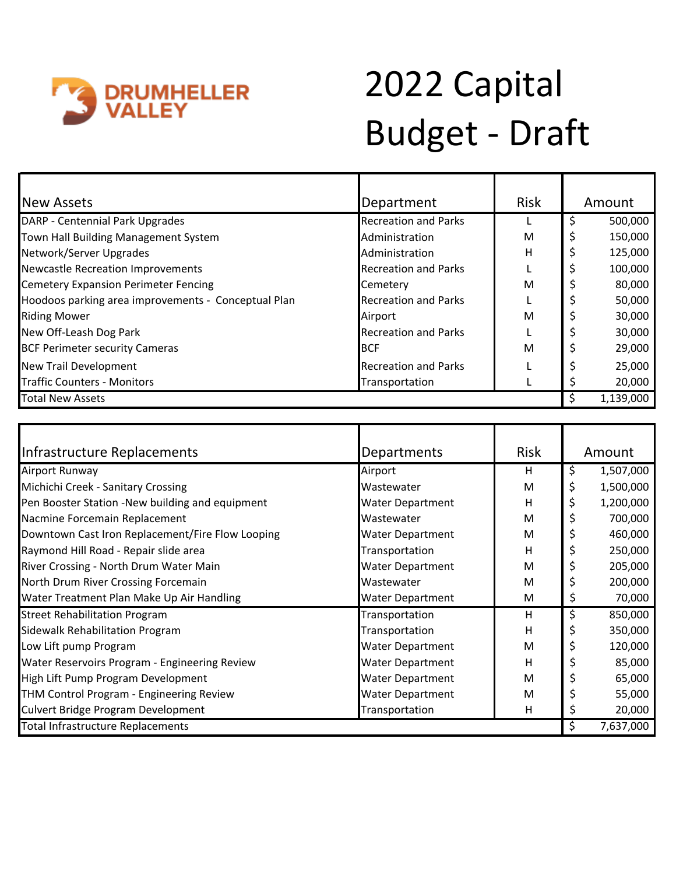

## 2022 Capital Budget - Draft

| <b>New Assets</b>                                   | Department                  | <b>Risk</b> |   | Amount    |  |
|-----------------------------------------------------|-----------------------------|-------------|---|-----------|--|
| DARP - Centennial Park Upgrades                     | <b>Recreation and Parks</b> |             | Ś | 500,000   |  |
| Town Hall Building Management System                | Administration              | м           |   | 150,000   |  |
| Network/Server Upgrades                             | Administration              | H           |   | 125,000   |  |
| <b>Newcastle Recreation Improvements</b>            | <b>Recreation and Parks</b> |             |   | 100,000   |  |
| <b>Cemetery Expansion Perimeter Fencing</b>         | Cemetery                    | M           |   | 80,000    |  |
| Hoodoos parking area improvements - Conceptual Plan | <b>Recreation and Parks</b> |             |   | 50,000    |  |
| <b>Riding Mower</b>                                 | Airport                     | M           |   | 30,000    |  |
| New Off-Leash Dog Park                              | <b>Recreation and Parks</b> |             |   | 30,000    |  |
| <b>BCF Perimeter security Cameras</b>               | <b>BCF</b>                  | M           |   | 29,000    |  |
| New Trail Development                               | <b>Recreation and Parks</b> |             |   | 25,000    |  |
| <b>Traffic Counters - Monitors</b>                  | Transportation              |             |   | 20,000    |  |
| <b>Total New Assets</b>                             |                             |             |   | 1,139,000 |  |

| Infrastructure Replacements                      | Departments             | <b>Risk</b> |    | Amount    |
|--------------------------------------------------|-------------------------|-------------|----|-----------|
| Airport Runway                                   | Airport                 | H           | \$ | 1,507,000 |
| Michichi Creek - Sanitary Crossing               | Wastewater              | M           | \$ | 1,500,000 |
| Pen Booster Station -New building and equipment  | <b>Water Department</b> | н           | \$ | 1,200,000 |
| Nacmine Forcemain Replacement                    | Wastewater              | M           | Ş  | 700,000   |
| Downtown Cast Iron Replacement/Fire Flow Looping | <b>Water Department</b> | M           |    | 460,000   |
| Raymond Hill Road - Repair slide area            | Transportation          | н           |    | 250,000   |
| River Crossing - North Drum Water Main           | <b>Water Department</b> | M           |    | 205,000   |
| North Drum River Crossing Forcemain              | Wastewater              | M           |    | 200,000   |
| Water Treatment Plan Make Up Air Handling        | <b>Water Department</b> | M           | Ş  | 70,000    |
| <b>Street Rehabilitation Program</b>             | Transportation          | н           | \$ | 850,000   |
| Sidewalk Rehabilitation Program                  | Transportation          | н           |    | 350,000   |
| Low Lift pump Program                            | <b>Water Department</b> | M           |    | 120,000   |
| Water Reservoirs Program - Engineering Review    | <b>Water Department</b> | н           |    | 85,000    |
| High Lift Pump Program Development               | <b>Water Department</b> | M           |    | 65,000    |
| THM Control Program - Engineering Review         | Water Department        | M           |    | 55,000    |
| <b>Culvert Bridge Program Development</b>        | Transportation          | н           |    | 20,000    |
| Total Infrastructure Replacements                |                         |             | \$ | 7,637,000 |